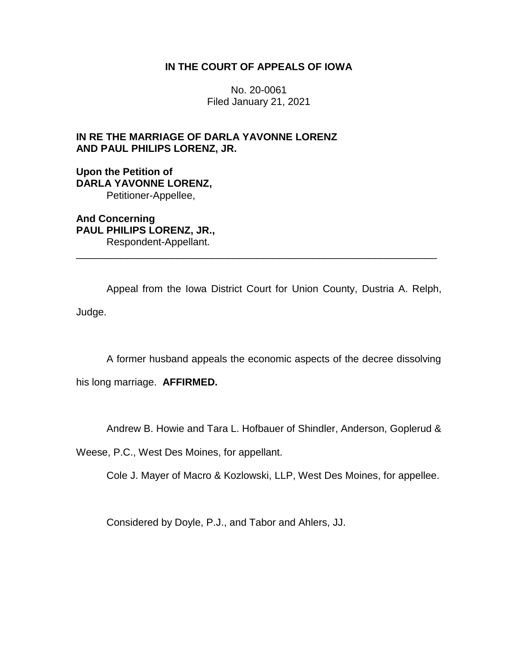# **IN THE COURT OF APPEALS OF IOWA**

No. 20-0061 Filed January 21, 2021

# **IN RE THE MARRIAGE OF DARLA YAVONNE LORENZ AND PAUL PHILIPS LORENZ, JR.**

# **Upon the Petition of DARLA YAVONNE LORENZ,** Petitioner-Appellee,

**And Concerning PAUL PHILIPS LORENZ, JR.,** Respondent-Appellant.

Appeal from the Iowa District Court for Union County, Dustria A. Relph, Judge.

\_\_\_\_\_\_\_\_\_\_\_\_\_\_\_\_\_\_\_\_\_\_\_\_\_\_\_\_\_\_\_\_\_\_\_\_\_\_\_\_\_\_\_\_\_\_\_\_\_\_\_\_\_\_\_\_\_\_\_\_\_\_\_\_

A former husband appeals the economic aspects of the decree dissolving

his long marriage. **AFFIRMED.**

Andrew B. Howie and Tara L. Hofbauer of Shindler, Anderson, Goplerud &

Weese, P.C., West Des Moines, for appellant.

Cole J. Mayer of Macro & Kozlowski, LLP, West Des Moines, for appellee.

Considered by Doyle, P.J., and Tabor and Ahlers, JJ.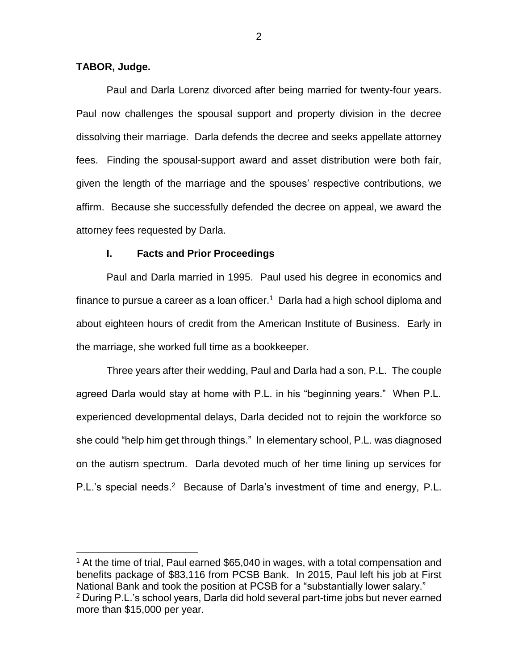### **TABOR, Judge.**

 $\overline{a}$ 

Paul and Darla Lorenz divorced after being married for twenty-four years. Paul now challenges the spousal support and property division in the decree dissolving their marriage. Darla defends the decree and seeks appellate attorney fees. Finding the spousal-support award and asset distribution were both fair, given the length of the marriage and the spouses' respective contributions, we affirm. Because she successfully defended the decree on appeal, we award the attorney fees requested by Darla.

### **I. Facts and Prior Proceedings**

Paul and Darla married in 1995. Paul used his degree in economics and finance to pursue a career as a loan officer.<sup>1</sup> Darla had a high school diploma and about eighteen hours of credit from the American Institute of Business. Early in the marriage, she worked full time as a bookkeeper.

Three years after their wedding, Paul and Darla had a son, P.L. The couple agreed Darla would stay at home with P.L. in his "beginning years." When P.L. experienced developmental delays, Darla decided not to rejoin the workforce so she could "help him get through things." In elementary school, P.L. was diagnosed on the autism spectrum. Darla devoted much of her time lining up services for P.L.'s special needs.<sup>2</sup> Because of Darla's investment of time and energy, P.L.

2

<sup>&</sup>lt;sup>1</sup> At the time of trial, Paul earned \$65,040 in wages, with a total compensation and benefits package of \$83,116 from PCSB Bank. In 2015, Paul left his job at First National Bank and took the position at PCSB for a "substantially lower salary." <sup>2</sup> During P.L.'s school years, Darla did hold several part-time jobs but never earned more than \$15,000 per year.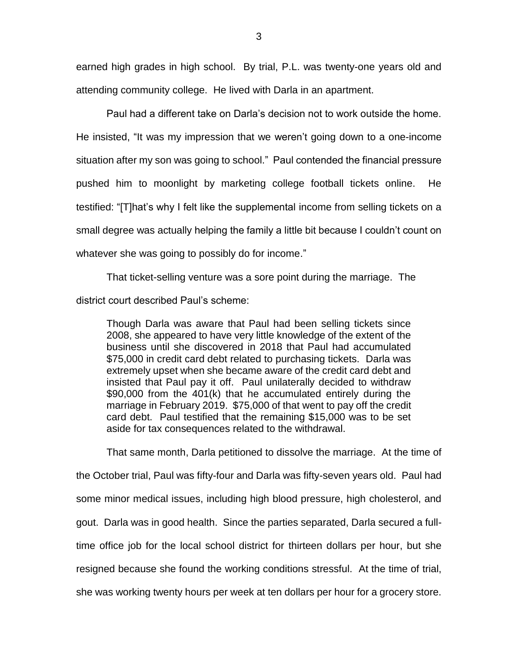earned high grades in high school. By trial, P.L. was twenty-one years old and attending community college. He lived with Darla in an apartment.

Paul had a different take on Darla's decision not to work outside the home. He insisted, "It was my impression that we weren't going down to a one-income situation after my son was going to school." Paul contended the financial pressure pushed him to moonlight by marketing college football tickets online. He testified: "[T]hat's why I felt like the supplemental income from selling tickets on a small degree was actually helping the family a little bit because I couldn't count on whatever she was going to possibly do for income."

That ticket-selling venture was a sore point during the marriage. The district court described Paul's scheme:

Though Darla was aware that Paul had been selling tickets since 2008, she appeared to have very little knowledge of the extent of the business until she discovered in 2018 that Paul had accumulated \$75,000 in credit card debt related to purchasing tickets. Darla was extremely upset when she became aware of the credit card debt and insisted that Paul pay it off. Paul unilaterally decided to withdraw \$90,000 from the 401(k) that he accumulated entirely during the marriage in February 2019. \$75,000 of that went to pay off the credit card debt. Paul testified that the remaining \$15,000 was to be set aside for tax consequences related to the withdrawal.

That same month, Darla petitioned to dissolve the marriage. At the time of the October trial, Paul was fifty-four and Darla was fifty-seven years old. Paul had some minor medical issues, including high blood pressure, high cholesterol, and gout. Darla was in good health. Since the parties separated, Darla secured a fulltime office job for the local school district for thirteen dollars per hour, but she resigned because she found the working conditions stressful. At the time of trial, she was working twenty hours per week at ten dollars per hour for a grocery store.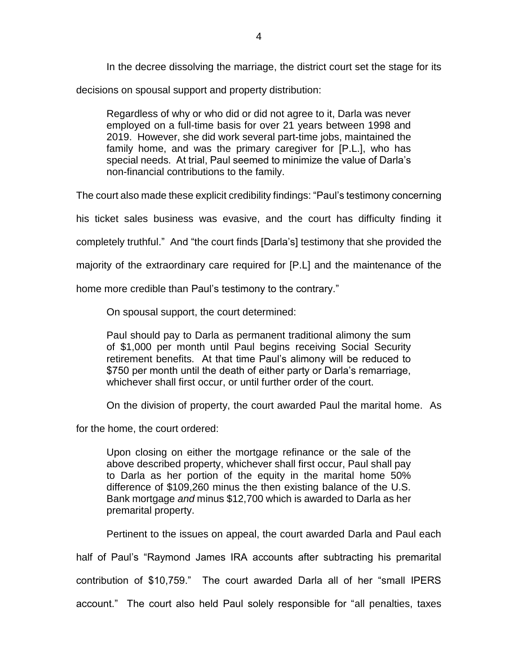In the decree dissolving the marriage, the district court set the stage for its

decisions on spousal support and property distribution:

Regardless of why or who did or did not agree to it, Darla was never employed on a full-time basis for over 21 years between 1998 and 2019. However, she did work several part-time jobs, maintained the family home, and was the primary caregiver for [P.L.], who has special needs. At trial, Paul seemed to minimize the value of Darla's non-financial contributions to the family.

The court also made these explicit credibility findings: "Paul's testimony concerning

his ticket sales business was evasive, and the court has difficulty finding it

completely truthful." And "the court finds [Darla's] testimony that she provided the

majority of the extraordinary care required for [P.L] and the maintenance of the

home more credible than Paul's testimony to the contrary."

On spousal support, the court determined:

Paul should pay to Darla as permanent traditional alimony the sum of \$1,000 per month until Paul begins receiving Social Security retirement benefits. At that time Paul's alimony will be reduced to \$750 per month until the death of either party or Darla's remarriage, whichever shall first occur, or until further order of the court.

On the division of property, the court awarded Paul the marital home. As

for the home, the court ordered:

Upon closing on either the mortgage refinance or the sale of the above described property, whichever shall first occur, Paul shall pay to Darla as her portion of the equity in the marital home 50% difference of \$109,260 minus the then existing balance of the U.S. Bank mortgage *and* minus \$12,700 which is awarded to Darla as her premarital property.

Pertinent to the issues on appeal, the court awarded Darla and Paul each

half of Paul's "Raymond James IRA accounts after subtracting his premarital

contribution of \$10,759." The court awarded Darla all of her "small IPERS

account." The court also held Paul solely responsible for "all penalties, taxes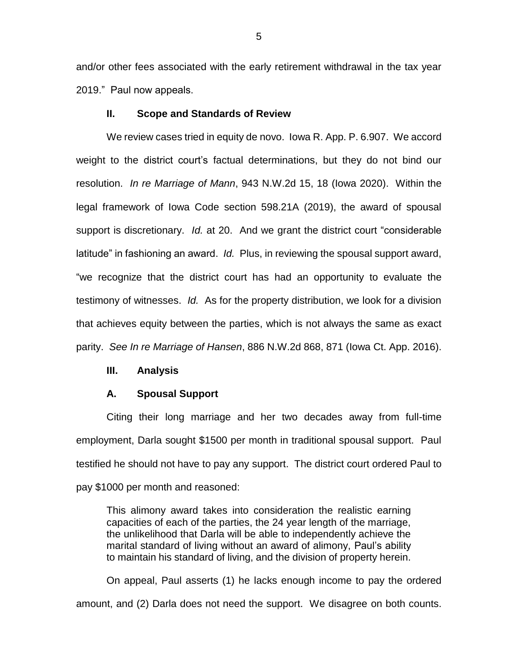and/or other fees associated with the early retirement withdrawal in the tax year 2019." Paul now appeals.

### **II. Scope and Standards of Review**

We review cases tried in equity de novo. Iowa R. App. P. 6.907. We accord weight to the district court's factual determinations, but they do not bind our resolution. *In re Marriage of Mann*, 943 N.W.2d 15, 18 (Iowa 2020). Within the legal framework of Iowa Code section 598.21A (2019), the award of spousal support is discretionary. *Id.* at 20. And we grant the district court "considerable latitude" in fashioning an award. *Id.* Plus, in reviewing the spousal support award, "we recognize that the district court has had an opportunity to evaluate the testimony of witnesses. *Id.* As for the property distribution, we look for a division that achieves equity between the parties, which is not always the same as exact parity. *See In re Marriage of Hansen*, 886 N.W.2d 868, 871 (Iowa Ct. App. 2016).

### **III. Analysis**

#### **A. Spousal Support**

Citing their long marriage and her two decades away from full-time employment, Darla sought \$1500 per month in traditional spousal support. Paul testified he should not have to pay any support. The district court ordered Paul to pay \$1000 per month and reasoned:

This alimony award takes into consideration the realistic earning capacities of each of the parties, the 24 year length of the marriage, the unlikelihood that Darla will be able to independently achieve the marital standard of living without an award of alimony, Paul's ability to maintain his standard of living, and the division of property herein.

On appeal, Paul asserts (1) he lacks enough income to pay the ordered amount, and (2) Darla does not need the support. We disagree on both counts.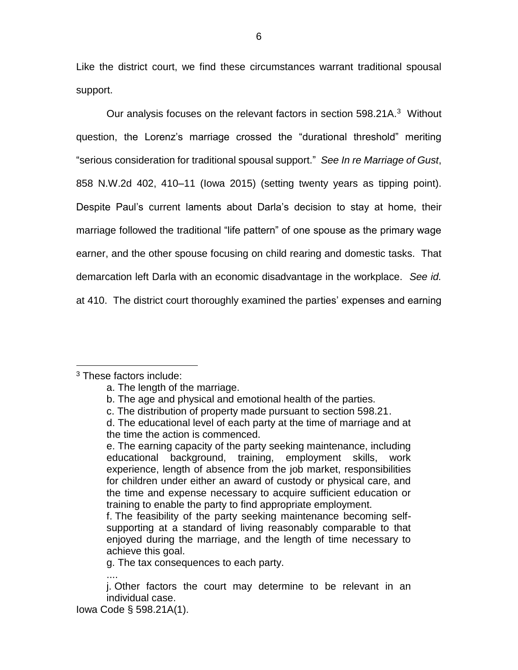Like the district court, we find these circumstances warrant traditional spousal support.

Our analysis focuses on the relevant factors in section 598.21A.<sup>3</sup> Without question, the Lorenz's marriage crossed the "durational threshold" meriting "serious consideration for traditional spousal support." *See In re Marriage of Gust*, 858 N.W.2d 402, 410–11 (Iowa 2015) (setting twenty years as tipping point). Despite Paul's current laments about Darla's decision to stay at home, their marriage followed the traditional "life pattern" of one spouse as the primary wage earner, and the other spouse focusing on child rearing and domestic tasks. That demarcation left Darla with an economic disadvantage in the workplace. *See id.* at 410. The district court thoroughly examined the parties' expenses and earning

 $\overline{a}$ 

<sup>3</sup> These factors include:

a. The length of the marriage.

b. The age and physical and emotional health of the parties.

c. The distribution of property made pursuant to section 598.21.

d. The educational level of each party at the time of marriage and at the time the action is commenced.

e. The earning capacity of the party seeking maintenance, including educational background, training, employment skills, work experience, length of absence from the job market, responsibilities for children under either an award of custody or physical care, and the time and expense necessary to acquire sufficient education or training to enable the party to find appropriate employment.

f. The feasibility of the party seeking maintenance becoming selfsupporting at a standard of living reasonably comparable to that enjoyed during the marriage, and the length of time necessary to achieve this goal.

g. The tax consequences to each party.

<sup>....</sup> j. Other factors the court may determine to be relevant in an individual case.

Iowa Code § 598.21A(1).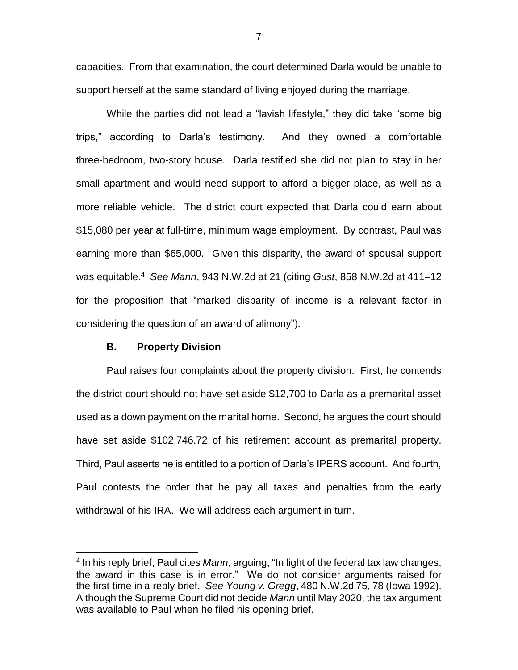capacities. From that examination, the court determined Darla would be unable to support herself at the same standard of living enjoyed during the marriage.

While the parties did not lead a "lavish lifestyle," they did take "some big trips," according to Darla's testimony. And they owned a comfortable three-bedroom, two-story house. Darla testified she did not plan to stay in her small apartment and would need support to afford a bigger place, as well as a more reliable vehicle. The district court expected that Darla could earn about \$15,080 per year at full-time, minimum wage employment. By contrast, Paul was earning more than \$65,000. Given this disparity, the award of spousal support was equitable.<sup>4</sup> *See Mann*, 943 N.W.2d at 21 (citing *Gust*, 858 N.W.2d at 411–12 for the proposition that "marked disparity of income is a relevant factor in considering the question of an award of alimony").

# **B. Property Division**

 $\overline{a}$ 

Paul raises four complaints about the property division. First, he contends the district court should not have set aside \$12,700 to Darla as a premarital asset used as a down payment on the marital home. Second, he argues the court should have set aside \$102,746.72 of his retirement account as premarital property. Third, Paul asserts he is entitled to a portion of Darla's IPERS account. And fourth, Paul contests the order that he pay all taxes and penalties from the early withdrawal of his IRA. We will address each argument in turn.

7

<sup>4</sup> In his reply brief, Paul cites *Mann*, arguing, "In light of the federal tax law changes, the award in this case is in error." We do not consider arguments raised for the first time in a reply brief. *See Young v. Gregg*, 480 N.W.2d 75, 78 (Iowa 1992). Although the Supreme Court did not decide *Mann* until May 2020, the tax argument was available to Paul when he filed his opening brief.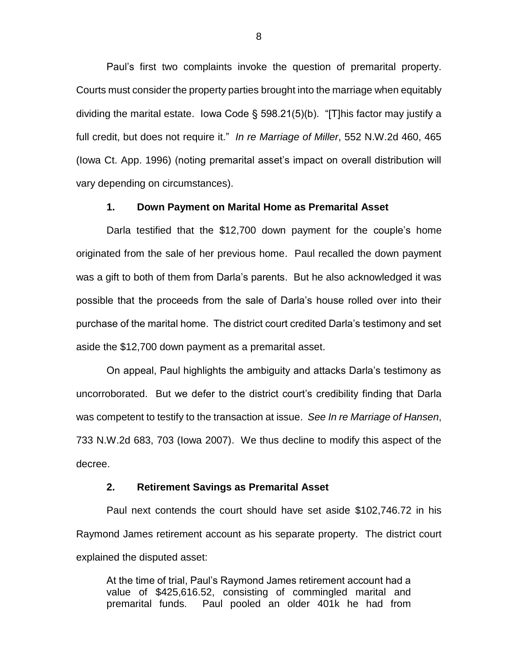Paul's first two complaints invoke the question of premarital property. Courts must consider the property parties brought into the marriage when equitably dividing the marital estate. Iowa Code § 598.21(5)(b). "[T]his factor may justify a full credit, but does not require it." *In re Marriage of Miller*, 552 N.W.2d 460, 465 (Iowa Ct. App. 1996) (noting premarital asset's impact on overall distribution will vary depending on circumstances).

### **1. Down Payment on Marital Home as Premarital Asset**

Darla testified that the \$12,700 down payment for the couple's home originated from the sale of her previous home. Paul recalled the down payment was a gift to both of them from Darla's parents. But he also acknowledged it was possible that the proceeds from the sale of Darla's house rolled over into their purchase of the marital home. The district court credited Darla's testimony and set aside the \$12,700 down payment as a premarital asset.

On appeal, Paul highlights the ambiguity and attacks Darla's testimony as uncorroborated. But we defer to the district court's credibility finding that Darla was competent to testify to the transaction at issue. *See In re Marriage of Hansen*, 733 N.W.2d 683, 703 (Iowa 2007). We thus decline to modify this aspect of the decree.

### **2. Retirement Savings as Premarital Asset**

Paul next contends the court should have set aside \$102,746.72 in his Raymond James retirement account as his separate property. The district court explained the disputed asset:

At the time of trial, Paul's Raymond James retirement account had a value of \$425,616.52, consisting of commingled marital and premarital funds. Paul pooled an older 401k he had from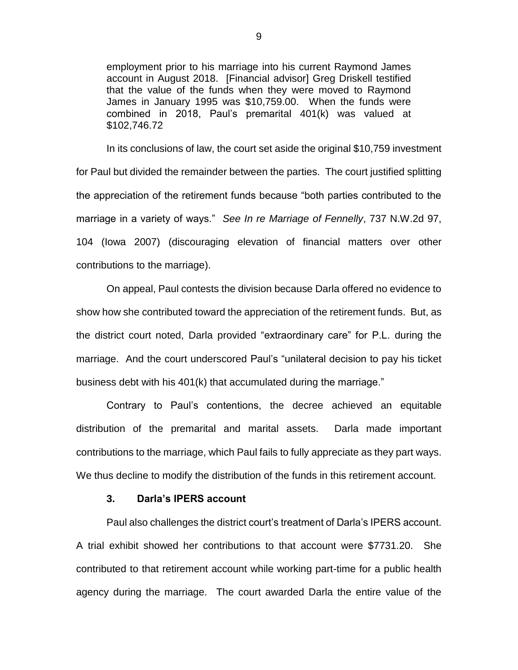employment prior to his marriage into his current Raymond James account in August 2018. [Financial advisor] Greg Driskell testified that the value of the funds when they were moved to Raymond James in January 1995 was \$10,759.00. When the funds were combined in 2018, Paul's premarital 401(k) was valued at \$102,746.72

In its conclusions of law, the court set aside the original \$10,759 investment for Paul but divided the remainder between the parties. The court justified splitting the appreciation of the retirement funds because "both parties contributed to the marriage in a variety of ways." *See In re Marriage of Fennelly*, 737 N.W.2d 97, 104 (Iowa 2007) (discouraging elevation of financial matters over other contributions to the marriage).

On appeal, Paul contests the division because Darla offered no evidence to show how she contributed toward the appreciation of the retirement funds. But, as the district court noted, Darla provided "extraordinary care" for P.L. during the marriage. And the court underscored Paul's "unilateral decision to pay his ticket business debt with his 401(k) that accumulated during the marriage."

Contrary to Paul's contentions, the decree achieved an equitable distribution of the premarital and marital assets. Darla made important contributions to the marriage, which Paul fails to fully appreciate as they part ways. We thus decline to modify the distribution of the funds in this retirement account.

### **3. Darla's IPERS account**

Paul also challenges the district court's treatment of Darla's IPERS account. A trial exhibit showed her contributions to that account were \$7731.20. She contributed to that retirement account while working part-time for a public health agency during the marriage. The court awarded Darla the entire value of the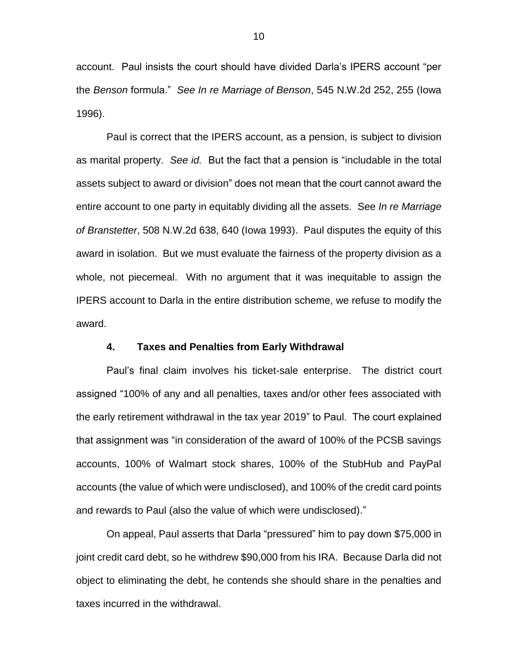account. Paul insists the court should have divided Darla's IPERS account "per the *Benson* formula." *See In re Marriage of Benson*, 545 N.W.2d 252, 255 (Iowa 1996).

Paul is correct that the IPERS account, as a pension, is subject to division as marital property. *See id.* But the fact that a pension is "includable in the total assets subject to award or division" does not mean that the court cannot award the entire account to one party in equitably dividing all the assets. See *In re Marriage of Branstetter*, 508 N.W.2d 638, 640 (Iowa 1993). Paul disputes the equity of this award in isolation. But we must evaluate the fairness of the property division as a whole, not piecemeal. With no argument that it was inequitable to assign the IPERS account to Darla in the entire distribution scheme, we refuse to modify the award.

### **4. Taxes and Penalties from Early Withdrawal**

Paul's final claim involves his ticket-sale enterprise. The district court assigned "100% of any and all penalties, taxes and/or other fees associated with the early retirement withdrawal in the tax year 2019" to Paul. The court explained that assignment was "in consideration of the award of 100% of the PCSB savings accounts, 100% of Walmart stock shares, 100% of the StubHub and PayPal accounts (the value of which were undisclosed), and 100% of the credit card points and rewards to Paul (also the value of which were undisclosed)."

On appeal, Paul asserts that Darla "pressured" him to pay down \$75,000 in joint credit card debt, so he withdrew \$90,000 from his IRA. Because Darla did not object to eliminating the debt, he contends she should share in the penalties and taxes incurred in the withdrawal.